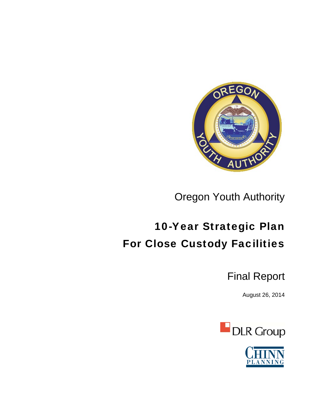

Oregon Youth Authority

# 10-Year Strategic Plan For Close Custody Facilities

Final Report

August 26, 2014



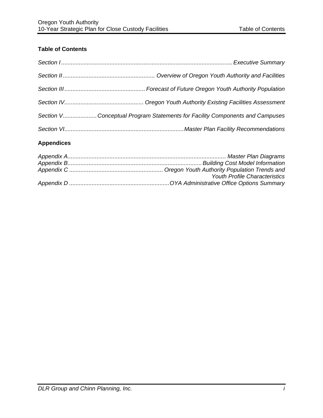### **Table of Contents**

| Section VConceptual Program Statements for Facility Components and Campuses |
|-----------------------------------------------------------------------------|
|                                                                             |

### **Appendices**

| <b>Youth Profile Characteristics</b> |
|--------------------------------------|
|                                      |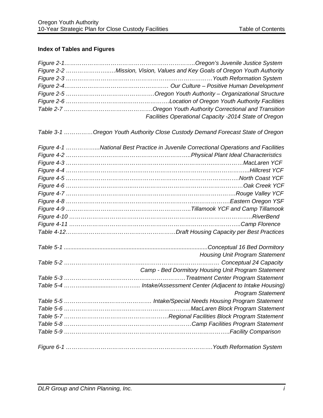## **Index of Tables and Figures**

| Figure 2-2 Mission, Vision, Values and Key Goals of Oregon Youth Authority           |
|--------------------------------------------------------------------------------------|
|                                                                                      |
|                                                                                      |
|                                                                                      |
|                                                                                      |
|                                                                                      |
| Facilities Operational Capacity -2014 State of Oregon                                |
| Table 3-1 Oregon Youth Authority Close Custody Demand Forecast State of Oregon       |
| Figure 4-1 National Best Practice in Juvenile Correctional Operations and Facilities |
|                                                                                      |
|                                                                                      |
| Figure 4-4 ………………………………………………………………………………………Hillcrest YCF                            |
|                                                                                      |
|                                                                                      |
|                                                                                      |
|                                                                                      |
|                                                                                      |
|                                                                                      |
|                                                                                      |
|                                                                                      |
|                                                                                      |
| <b>Housing Unit Program Statement</b>                                                |
|                                                                                      |
| Camp - Bed Dormitory Housing Unit Program Statement                                  |
|                                                                                      |
|                                                                                      |
| <b>Program Statement</b>                                                             |
|                                                                                      |
|                                                                                      |
|                                                                                      |
|                                                                                      |
|                                                                                      |
|                                                                                      |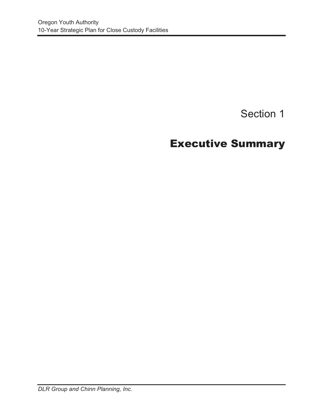# Section 1

# Executive Summary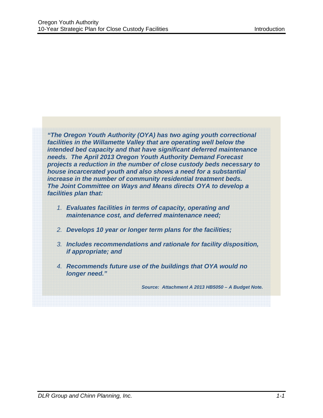*"The Oregon Youth Authority (OYA) has two aging youth correctional facilities in the Willamette Valley that are operating well below the intended bed capacity and that have significant deferred maintenance needs. The April 2013 Oregon Youth Authority Demand Forecast projects a reduction in the number of close custody beds necessary to house incarcerated youth and also shows a need for a substantial increase in the number of community residential treatment beds. The Joint Committee on Ways and Means directs OYA to develop a facilities plan that:*

- *1. Evaluates facilities in terms of capacity, operating and maintenance cost, and deferred maintenance need;*
- *2. Develops 10 year or longer term plans for the facilities;*
- *3. Includes recommendations and rationale for facility disposition, if appropriate; and*
- *4. Recommends future use of the buildings that OYA would no longer need."*

*Source: Attachment A 2013 HB5050 – A Budget Note.*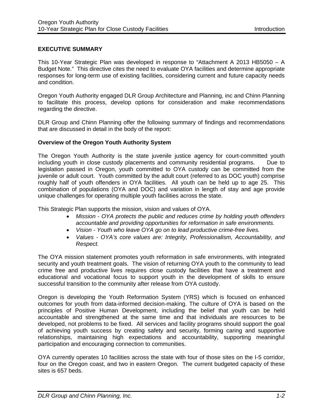#### **EXECUTIVE SUMMARY**

This 10-Year Strategic Plan was developed in response to "Attachment A 2013 HB5050 – A Budget Note." This directive cites the need to evaluate OYA facilities and determine appropriate responses for long-term use of existing facilities, considering current and future capacity needs and condition.

Oregon Youth Authority engaged DLR Group Architecture and Planning, inc and Chinn Planning to facilitate this process, develop options for consideration and make recommendations regarding the directive.

DLR Group and Chinn Planning offer the following summary of findings and recommendations that are discussed in detail in the body of the report:

#### **Overview of the Oregon Youth Authority System**

The Oregon Youth Authority is the state juvenile justice agency for court-committed youth including youth in close custody placements and community residential programs. Due to legislation passed in Oregon, youth committed to OYA custody can be committed from the juvenile or adult court. Youth committed by the adult court (referred to as DOC youth) comprise roughly half of youth offenders in OYA facilities. All youth can be held up to age 25. This combination of populations (OYA and DOC) and variation in length of stay and age provide unique challenges for operating multiple youth facilities across the state.

This Strategic Plan supports the mission, vision and values of OYA.

- *Mission OYA protects the public and reduces crime by holding youth offenders accountable and providing opportunities for reformation in safe environments.*
- *Vision Youth who leave OYA go on to lead productive crime-free lives.*
- *Values OYA's core values are: Integrity, Professionalism, Accountability, and Respect.*

The OYA mission statement promotes youth reformation in safe environments, with integrated security and youth treatment goals. The vision of returning OYA youth to the community to lead crime free and productive lives requires close custody facilities that have a treatment and educational and vocational focus to support youth in the development of skills to ensure successful transition to the community after release from OYA custody.

Oregon is developing the Youth Reformation System (YRS) which is focused on enhanced outcomes for youth from data-informed decision-making. The culture of OYA is based on the principles of Positive Human Development, including the belief that youth can be held accountable and strengthened at the same time and that individuals are resources to be developed, not problems to be fixed. All services and facility programs should support the goal of achieving youth success by creating safety and security, forming caring and supportive relationships, maintaining high expectations and accountability, supporting meaningful participation and encouraging connection to communities.

OYA currently operates 10 facilities across the state with four of those sites on the I-5 corridor, four on the Oregon coast, and two in eastern Oregon. The current budgeted capacity of these sites is 657 beds.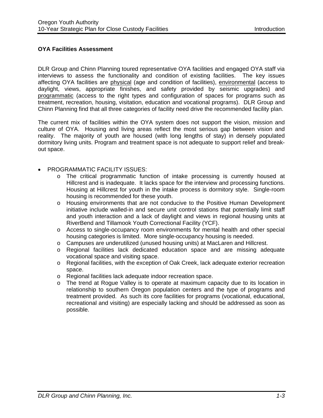#### **OYA Facilities Assessment**

DLR Group and Chinn Planning toured representative OYA facilities and engaged OYA staff via interviews to assess the functionality and condition of existing facilities. The key issues affecting OYA facilities are physical (age and condition of facilities), environmental (access to daylight, views, appropriate finishes, and safety provided by seismic upgrades) and programmatic (access to the right types and configuration of spaces for programs such as treatment, recreation, housing, visitation, education and vocational programs). DLR Group and Chinn Planning find that all three categories of facility need drive the recommended facility plan.

The current mix of facilities within the OYA system does not support the vision, mission and culture of OYA. Housing and living areas reflect the most serious gap between vision and reality. The majority of youth are housed (with long lengths of stay) in densely populated dormitory living units. Program and treatment space is not adequate to support relief and breakout space.

#### **• PROGRAMMATIC FACILITY ISSUES:**

- o The critical programmatic function of intake processing is currently housed at Hillcrest and is inadequate. It lacks space for the interview and processing functions. Housing at Hillcrest for youth in the intake process is dormitory style. Single-room housing is recommended for these youth.
- o Housing environments that are not conducive to the Positive Human Development initiative include walled-in and secure unit control stations that potentially limit staff and youth interaction and a lack of daylight and views in regional housing units at RiverBend and Tillamook Youth Correctional Facility (YCF).
- o Access to single-occupancy room environments for mental health and other special housing categories is limited. More single-occupancy housing is needed.
- o Campuses are underutilized (unused housing units) at MacLaren and Hillcrest.
- o Regional facilities lack dedicated education space and are missing adequate vocational space and visiting space.
- o Regional facilities, with the exception of Oak Creek, lack adequate exterior recreation space.
- o Regional facilities lack adequate indoor recreation space.
- o The trend at Rogue Valley is to operate at maximum capacity due to its location in relationship to southern Oregon population centers and the type of programs and treatment provided. As such its core facilities for programs (vocational, educational, recreational and visiting) are especially lacking and should be addressed as soon as possible.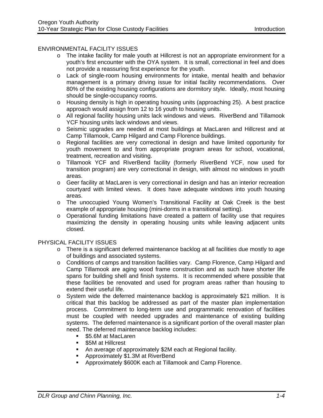#### ENVIRONMENTAL FACILITY ISSUES

- o The intake facility for male youth at Hillcrest is not an appropriate environment for a youth's first encounter with the OYA system. It is small, correctional in feel and does not provide a reassuring first experience for the youth.
- o Lack of single-room housing environments for intake, mental health and behavior management is a primary driving issue for initial facility recommendations. Over 80% of the existing housing configurations are dormitory style. Ideally, most housing should be single-occupancy rooms.
- o Housing density is high in operating housing units (approaching 25). A best practice approach would assign from 12 to 16 youth to housing units.
- o All regional facility housing units lack windows and views. RiverBend and Tillamook YCF housing units lack windows and views.
- o Seismic upgrades are needed at most buildings at MacLaren and Hillcrest and at Camp Tillamook, Camp Hilgard and Camp Florence buildings.
- o Regional facilities are very correctional in design and have limited opportunity for youth movement to and from appropriate program areas for school, vocational, treatment, recreation and visiting.
- o Tillamook YCF and RiverBend facility (formerly RiverBend YCF, now used for transition program) are very correctional in design, with almost no windows in youth areas.
- o Geer facility at MacLaren is very correctional in design and has an interior recreation courtyard with limited views. It does have adequate windows into youth housing areas.
- o The unoccupied Young Women's Transitional Facility at Oak Creek is the best example of appropriate housing (mini-dorms in a transitional setting).
- o Operational funding limitations have created a pattern of facility use that requires maximizing the density in operating housing units while leaving adjacent units closed.

#### PHYSICAL FACILITY ISSUES

- o There is a significant deferred maintenance backlog at all facilities due mostly to age of buildings and associated systems.
- o Conditions of camps and transition facilities vary. Camp Florence, Camp Hilgard and Camp Tillamook are aging wood frame construction and as such have shorter life spans for building shell and finish systems. It is recommended where possible that these facilities be renovated and used for program areas rather than housing to extend their useful life.
- o System wide the deferred maintenance backlog is approximately \$21 million. It is critical that this backlog be addressed as part of the master plan implementation process. Commitment to long-term use and programmatic renovation of facilities must be coupled with needed upgrades and maintenance of existing building systems. The deferred maintenance is a significant portion of the overall master plan need. The deferred maintenance backlog includes:
	- **55.6M at MacLaren**
	- **S5M at Hillcrest**
	- An average of approximately \$2M each at Regional facility.
	- **-** Approximately \$1.3M at RiverBend
	- **-** Approximately \$600K each at Tillamook and Camp Florence.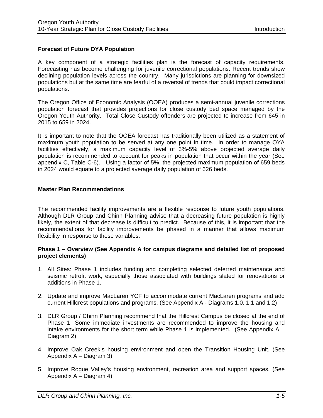#### **Forecast of Future OYA Population**

A key component of a strategic facilities plan is the forecast of capacity requirements. Forecasting has become challenging for juvenile correctional populations. Recent trends show declining population levels across the country. Many jurisdictions are planning for downsized populations but at the same time are fearful of a reversal of trends that could impact correctional populations.

The Oregon Office of Economic Analysis (OOEA) produces a semi-annual juvenile corrections population forecast that provides projections for close custody bed space managed by the Oregon Youth Authority. Total Close Custody offenders are projected to increase from 645 in 2015 to 659 in 2024.

It is important to note that the OOEA forecast has traditionally been utilized as a statement of maximum youth population to be served at any one point in time. In order to manage OYA facilities effectively, a maximum capacity level of 3%-5% above projected average daily population is recommended to account for peaks in population that occur within the year (See appendix C, Table C-6). Using a factor of 5%, the projected maximum population of 659 beds in 2024 would equate to a projected average daily population of 626 beds.

#### **Master Plan Recommendations**

The recommended facility improvements are a flexible response to future youth populations. Although DLR Group and Chinn Planning advise that a decreasing future population is highly likely, the extent of that decrease is difficult to predict. Because of this, it is important that the recommendations for facility improvements be phased in a manner that allows maximum flexibility in response to these variables.

#### **Phase 1 – Overview (See Appendix A for campus diagrams and detailed list of proposed project elements)**

- 1. All Sites: Phase 1 includes funding and completing selected deferred maintenance and seismic retrofit work, especially those associated with buildings slated for renovations or additions in Phase 1.
- 2. Update and improve MacLaren YCF to accommodate current MacLaren programs and add current Hillcrest populations and programs. (See Appendix A - Diagrams 1.0. 1.1 and 1.2)
- 3. DLR Group / Chinn Planning recommend that the Hillcrest Campus be closed at the end of Phase 1. Some immediate investments are recommended to improve the housing and intake environments for the short term while Phase 1 is implemented. (See Appendix  $A -$ Diagram 2)
- 4. Improve Oak Creek's housing environment and open the Transition Housing Unit. (See Appendix A – Diagram 3)
- 5. Improve Rogue Valley's housing environment, recreation area and support spaces. (See Appendix A – Diagram 4)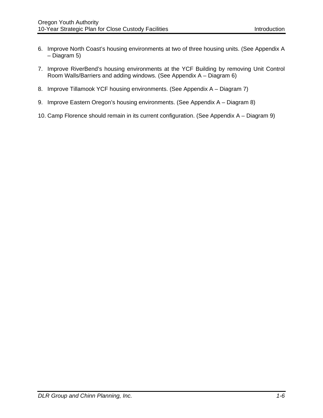- 6. Improve North Coast's housing environments at two of three housing units. (See Appendix A – Diagram 5)
- 7. Improve RiverBend's housing environments at the YCF Building by removing Unit Control Room Walls/Barriers and adding windows. (See Appendix A – Diagram 6)
- 8. Improve Tillamook YCF housing environments. (See Appendix A Diagram 7)
- 9. Improve Eastern Oregon's housing environments. (See Appendix A Diagram 8)
- 10. Camp Florence should remain in its current configuration. (See Appendix A Diagram 9)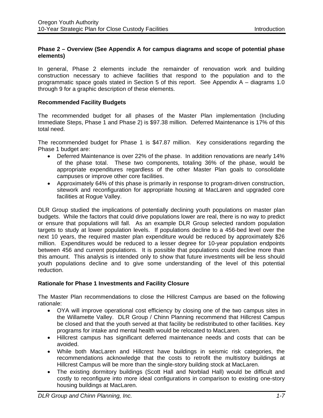#### **Phase 2 – Overview (See Appendix A for campus diagrams and scope of potential phase elements)**

In general, Phase 2 elements include the remainder of renovation work and building construction necessary to achieve facilities that respond to the population and to the programmatic space goals stated in Section 5 of this report. See Appendix A – diagrams 1.0 through 9 for a graphic description of these elements.

#### **Recommended Facility Budgets**

The recommended budget for all phases of the Master Plan implementation (Including Immediate Steps, Phase 1 and Phase 2) is \$97.38 million. Deferred Maintenance is 17% of this total need.

The recommended budget for Phase 1 is \$47.87 million. Key considerations regarding the Phase 1 budget are:

- Deferred Maintenance is over 22% of the phase. In addition renovations are nearly 14% of the phase total. These two components, totaling 36% of the phase, would be appropriate expenditures regardless of the other Master Plan goals to consolidate campuses or improve other core facilities.
- Approximately 64% of this phase is primarily in response to program-driven construction, sitework and reconfiguration for appropriate housing at MacLaren and upgraded core facilities at Rogue Valley.

DLR Group studied the implications of potentially declining youth populations on master plan budgets. While the factors that could drive populations lower are real, there is no way to predict or ensure that populations will fall. As an example DLR Group selected random population targets to study at lower population levels. If populations decline to a 456-bed level over the next 10 years, the required master plan expenditure would be reduced by approximately \$26 million. Expenditures would be reduced to a lesser degree for 10-year population endpoints between 456 and current populations. It is possible that populations could decline more than this amount. This analysis is intended only to show that future investments will be less should youth populations decline and to give some understanding of the level of this potential reduction.

#### **Rationale for Phase 1 Investments and Facility Closure**

The Master Plan recommendations to close the Hillcrest Campus are based on the following rationale:

- OYA will improve operational cost efficiency by closing one of the two campus sites in the Willamette Valley. DLR Group / Chinn Planning recommend that Hillcrest Campus be closed and that the youth served at that facility be redistributed to other facilities. Key programs for intake and mental health would be relocated to MacLaren.
- Hillcrest campus has significant deferred maintenance needs and costs that can be avoided.
- While both MacLaren and Hillcrest have buildings in seismic risk categories, the recommendations acknowledge that the costs to retrofit the multistory buildings at Hillcrest Campus will be more than the single-story building stock at MacLaren.
- The existing dormitory buildings (Scott Hall and Norblad Hall) would be difficult and costly to reconfigure into more ideal configurations in comparison to existing one-story housing buildings at MacLaren.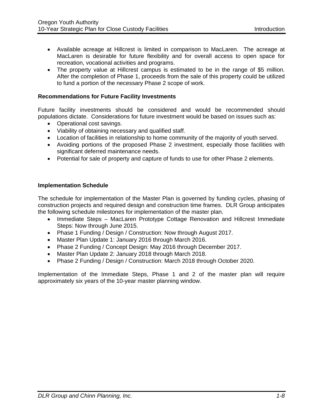- Available acreage at Hillcrest is limited in comparison to MacLaren. The acreage at MacLaren is desirable for future flexibility and for overall access to open space for recreation, vocational activities and programs.
- The property value at Hillcrest campus is estimated to be in the range of \$5 million. After the completion of Phase 1, proceeds from the sale of this property could be utilized to fund a portion of the necessary Phase 2 scope of work.

#### **Recommendations for Future Facility Investments**

Future facility investments should be considered and would be recommended should populations dictate. Considerations for future investment would be based on issues such as:

- Operational cost savings.
- Viability of obtaining necessary and qualified staff.
- Location of facilities in relationship to home community of the majority of youth served.
- Avoiding portions of the proposed Phase 2 investment, especially those facilities with significant deferred maintenance needs.
- Potential for sale of property and capture of funds to use for other Phase 2 elements.

#### **Implementation Schedule**

The schedule for implementation of the Master Plan is governed by funding cycles, phasing of construction projects and required design and construction time frames. DLR Group anticipates the following schedule milestones for implementation of the master plan.

- Immediate Steps MacLaren Prototype Cottage Renovation and Hillcrest Immediate Steps: Now through June 2015.
- Phase 1 Funding / Design / Construction: Now through August 2017.
- Master Plan Update 1: January 2016 through March 2016.
- Phase 2 Funding / Concept Design: May 2016 through December 2017.
- Master Plan Update 2: January 2018 through March 2018.
- Phase 2 Funding / Design / Construction: March 2018 through October 2020.

Implementation of the Immediate Steps, Phase 1 and 2 of the master plan will require approximately six years of the 10-year master planning window.